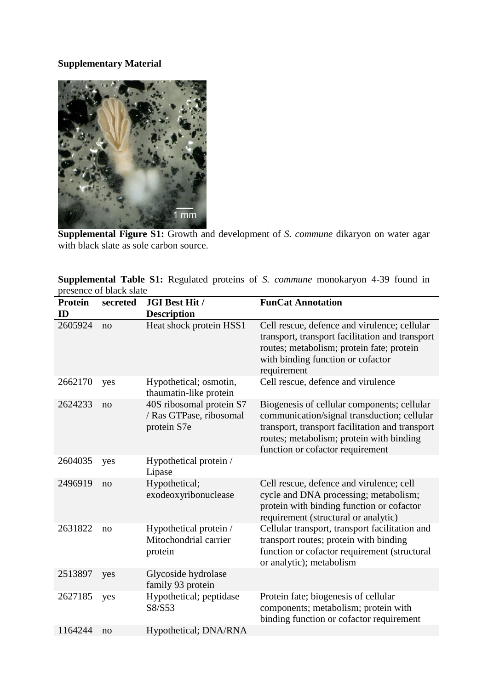## **Supplementary Material**



**Supplemental Figure S1:** Growth and development of *S. commune* dikaryon on water agar with black slate as sole carbon source.

**Supplemental Table S1:** Regulated proteins of *S. commune* monokaryon 4-39 found in presence of black slate

| <b>Protein</b><br>ID | secreted | <b>JGI Best Hit /</b><br><b>Description</b>                        | <b>FunCat Annotation</b>                                                                                                                                                                                                      |
|----------------------|----------|--------------------------------------------------------------------|-------------------------------------------------------------------------------------------------------------------------------------------------------------------------------------------------------------------------------|
| 2605924              | no       | Heat shock protein HSS1                                            | Cell rescue, defence and virulence; cellular<br>transport, transport facilitation and transport<br>routes; metabolism; protein fate; protein<br>with binding function or cofactor<br>requirement                              |
| 2662170              | yes      | Hypothetical; osmotin,<br>thaumatin-like protein                   | Cell rescue, defence and virulence                                                                                                                                                                                            |
| 2624233              | no       | 40S ribosomal protein S7<br>/ Ras GTPase, ribosomal<br>protein S7e | Biogenesis of cellular components; cellular<br>communication/signal transduction; cellular<br>transport, transport facilitation and transport<br>routes; metabolism; protein with binding<br>function or cofactor requirement |
| 2604035              | yes      | Hypothetical protein /<br>Lipase                                   |                                                                                                                                                                                                                               |
| 2496919              | no       | Hypothetical;<br>exodeoxyribonuclease                              | Cell rescue, defence and virulence; cell<br>cycle and DNA processing; metabolism;<br>protein with binding function or cofactor<br>requirement (structural or analytic)                                                        |
| 2631822              | no       | Hypothetical protein /<br>Mitochondrial carrier<br>protein         | Cellular transport, transport facilitation and<br>transport routes; protein with binding<br>function or cofactor requirement (structural<br>or analytic); metabolism                                                          |
| 2513897              | yes      | Glycoside hydrolase<br>family 93 protein                           |                                                                                                                                                                                                                               |
| 2627185              | yes      | Hypothetical; peptidase<br>S8/S53                                  | Protein fate; biogenesis of cellular<br>components; metabolism; protein with<br>binding function or cofactor requirement                                                                                                      |
| 1164244              | no       | Hypothetical; DNA/RNA                                              |                                                                                                                                                                                                                               |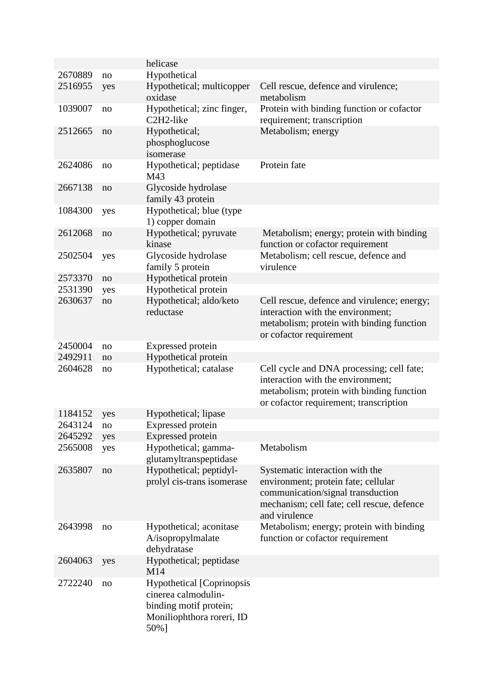|         |     | helicase                                                                                                               |                                                                                                                                                                            |
|---------|-----|------------------------------------------------------------------------------------------------------------------------|----------------------------------------------------------------------------------------------------------------------------------------------------------------------------|
| 2670889 | no  | Hypothetical                                                                                                           |                                                                                                                                                                            |
| 2516955 | yes | Hypothetical; multicopper<br>oxidase                                                                                   | Cell rescue, defence and virulence;<br>metabolism                                                                                                                          |
| 1039007 | no  | Hypothetical; zinc finger,<br>C <sub>2</sub> H <sub>2</sub> -like                                                      | Protein with binding function or cofactor<br>requirement; transcription                                                                                                    |
| 2512665 | no  | Hypothetical;<br>phosphoglucose<br>isomerase                                                                           | Metabolism; energy                                                                                                                                                         |
| 2624086 | no  | Hypothetical; peptidase<br>M43                                                                                         | Protein fate                                                                                                                                                               |
| 2667138 | no  | Glycoside hydrolase<br>family 43 protein                                                                               |                                                                                                                                                                            |
| 1084300 | yes | Hypothetical; blue (type)<br>1) copper domain                                                                          |                                                                                                                                                                            |
| 2612068 | no  | Hypothetical; pyruvate<br>kinase                                                                                       | Metabolism; energy; protein with binding<br>function or cofactor requirement                                                                                               |
| 2502504 | yes | Glycoside hydrolase<br>family 5 protein                                                                                | Metabolism; cell rescue, defence and<br>virulence                                                                                                                          |
| 2573370 | no  | Hypothetical protein                                                                                                   |                                                                                                                                                                            |
| 2531390 | yes | Hypothetical protein                                                                                                   |                                                                                                                                                                            |
| 2630637 | no  | Hypothetical; aldo/keto<br>reductase                                                                                   | Cell rescue, defence and virulence; energy;<br>interaction with the environment;<br>metabolism; protein with binding function<br>or cofactor requirement                   |
| 2450004 | no  | Expressed protein                                                                                                      |                                                                                                                                                                            |
| 2492911 | no  | Hypothetical protein                                                                                                   |                                                                                                                                                                            |
| 2604628 | no  | Hypothetical; catalase                                                                                                 | Cell cycle and DNA processing; cell fate;<br>interaction with the environment;<br>metabolism; protein with binding function<br>or cofactor requirement; transcription      |
| 1184152 | yes | Hypothetical; lipase                                                                                                   |                                                                                                                                                                            |
| 2643124 | no  | <b>Expressed</b> protein                                                                                               |                                                                                                                                                                            |
| 2645292 | yes | Expressed protein                                                                                                      |                                                                                                                                                                            |
| 2565008 | yes | Hypothetical; gamma-<br>glutamyltranspeptidase                                                                         | Metabolism                                                                                                                                                                 |
| 2635807 | no  | Hypothetical; peptidyl-<br>prolyl cis-trans isomerase                                                                  | Systematic interaction with the<br>environment; protein fate; cellular<br>communication/signal transduction<br>mechanism; cell fate; cell rescue, defence<br>and virulence |
| 2643998 | no  | Hypothetical; aconitase<br>A/isopropylmalate<br>dehydratase                                                            | Metabolism; energy; protein with binding<br>function or cofactor requirement                                                                                               |
| 2604063 | yes | Hypothetical; peptidase<br>M14                                                                                         |                                                                                                                                                                            |
| 2722240 | no  | <b>Hypothetical [Coprinopsis</b><br>cinerea calmodulin-<br>binding motif protein;<br>Moniliophthora roreri, ID<br>50%] |                                                                                                                                                                            |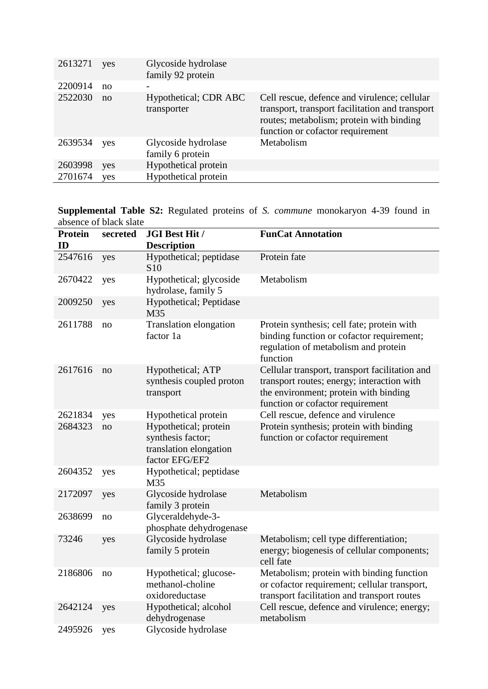| 2613271 | yes | Glycoside hydrolase<br>family 92 protein |                                                                                                                                                                                 |
|---------|-----|------------------------------------------|---------------------------------------------------------------------------------------------------------------------------------------------------------------------------------|
| 2200914 | no  |                                          |                                                                                                                                                                                 |
| 2522030 | no  | Hypothetical; CDR ABC<br>transporter     | Cell rescue, defence and virulence; cellular<br>transport, transport facilitation and transport<br>routes; metabolism; protein with binding<br>function or cofactor requirement |
| 2639534 | yes | Glycoside hydrolase<br>family 6 protein  | Metabolism                                                                                                                                                                      |
| 2603998 | yes | Hypothetical protein                     |                                                                                                                                                                                 |
| 2701674 | yes | Hypothetical protein                     |                                                                                                                                                                                 |

**Supplemental Table S2:** Regulated proteins of *S. commune* monokaryon 4-39 found in absence of black slate

| <b>Protein</b><br>ID | secreted | JGI Best Hit /<br><b>Description</b>                                                   | <b>FunCat Annotation</b>                                                                                                                                                  |
|----------------------|----------|----------------------------------------------------------------------------------------|---------------------------------------------------------------------------------------------------------------------------------------------------------------------------|
| 2547616              | yes      | Hypothetical; peptidase<br>S <sub>10</sub>                                             | Protein fate                                                                                                                                                              |
| 2670422              | yes      | Hypothetical; glycoside<br>hydrolase, family 5                                         | Metabolism                                                                                                                                                                |
| 2009250              | yes      | Hypothetical; Peptidase<br>M35                                                         |                                                                                                                                                                           |
| 2611788              | no       | Translation elongation<br>factor 1a                                                    | Protein synthesis; cell fate; protein with<br>binding function or cofactor requirement;<br>regulation of metabolism and protein<br>function                               |
| 2617616              | no       | Hypothetical; ATP<br>synthesis coupled proton<br>transport                             | Cellular transport, transport facilitation and<br>transport routes; energy; interaction with<br>the environment; protein with binding<br>function or cofactor requirement |
| 2621834              | yes      | Hypothetical protein                                                                   | Cell rescue, defence and virulence                                                                                                                                        |
| 2684323              | no       | Hypothetical; protein<br>synthesis factor;<br>translation elongation<br>factor EFG/EF2 | Protein synthesis; protein with binding<br>function or cofactor requirement                                                                                               |
| 2604352              | yes      | Hypothetical; peptidase<br>M35                                                         |                                                                                                                                                                           |
| 2172097              | yes      | Glycoside hydrolase<br>family 3 protein                                                | Metabolism                                                                                                                                                                |
| 2638699              | no       | Glyceraldehyde-3-<br>phosphate dehydrogenase                                           |                                                                                                                                                                           |
| 73246                | yes      | Glycoside hydrolase<br>family 5 protein                                                | Metabolism; cell type differentiation;<br>energy; biogenesis of cellular components;<br>cell fate                                                                         |
| 2186806              | no       | Hypothetical; glucose-<br>methanol-choline<br>oxidoreductase                           | Metabolism; protein with binding function<br>or cofactor requirement; cellular transport,<br>transport facilitation and transport routes                                  |
| 2642124              | yes      | Hypothetical; alcohol<br>dehydrogenase                                                 | Cell rescue, defence and virulence; energy;<br>metabolism                                                                                                                 |
| 2495926              | yes      | Glycoside hydrolase                                                                    |                                                                                                                                                                           |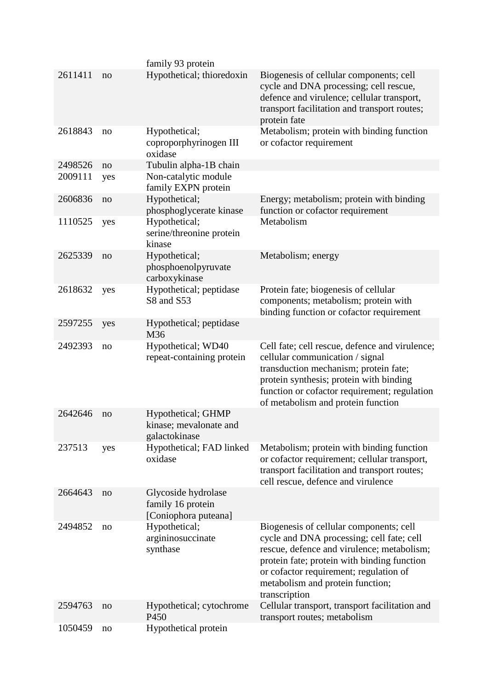|         |     | family 93 protein                                                |                                                                                                                                                                                                                                                                                  |
|---------|-----|------------------------------------------------------------------|----------------------------------------------------------------------------------------------------------------------------------------------------------------------------------------------------------------------------------------------------------------------------------|
| 2611411 | no  | Hypothetical; thioredoxin                                        | Biogenesis of cellular components; cell<br>cycle and DNA processing; cell rescue,<br>defence and virulence; cellular transport,<br>transport facilitation and transport routes;<br>protein fate                                                                                  |
| 2618843 | no  | Hypothetical;<br>coproporphyrinogen III<br>oxidase               | Metabolism; protein with binding function<br>or cofactor requirement                                                                                                                                                                                                             |
| 2498526 | no  | Tubulin alpha-1B chain                                           |                                                                                                                                                                                                                                                                                  |
| 2009111 | yes | Non-catalytic module<br>family EXPN protein                      |                                                                                                                                                                                                                                                                                  |
| 2606836 | no  | Hypothetical;<br>phosphoglycerate kinase                         | Energy; metabolism; protein with binding<br>function or cofactor requirement                                                                                                                                                                                                     |
| 1110525 | yes | Hypothetical;<br>serine/threonine protein<br>kinase              | Metabolism                                                                                                                                                                                                                                                                       |
| 2625339 | no  | Hypothetical;<br>phosphoenolpyruvate<br>carboxykinase            | Metabolism; energy                                                                                                                                                                                                                                                               |
| 2618632 | yes | Hypothetical; peptidase<br>S8 and S53                            | Protein fate; biogenesis of cellular<br>components; metabolism; protein with<br>binding function or cofactor requirement                                                                                                                                                         |
| 2597255 | yes | Hypothetical; peptidase<br>M36                                   |                                                                                                                                                                                                                                                                                  |
| 2492393 | no  | Hypothetical; WD40<br>repeat-containing protein                  | Cell fate; cell rescue, defence and virulence;<br>cellular communication / signal<br>transduction mechanism; protein fate;<br>protein synthesis; protein with binding<br>function or cofactor requirement; regulation<br>of metabolism and protein function                      |
| 2642646 | no  | Hypothetical; GHMP<br>kinase; mevalonate and<br>galactokinase    |                                                                                                                                                                                                                                                                                  |
| 237513  | yes | Hypothetical; FAD linked<br>oxidase                              | Metabolism; protein with binding function<br>or cofactor requirement; cellular transport,<br>transport facilitation and transport routes;<br>cell rescue, defence and virulence                                                                                                  |
| 2664643 | no  | Glycoside hydrolase<br>family 16 protein<br>[Coniophora puteana] |                                                                                                                                                                                                                                                                                  |
| 2494852 | no  | Hypothetical;<br>argininosuccinate<br>synthase                   | Biogenesis of cellular components; cell<br>cycle and DNA processing; cell fate; cell<br>rescue, defence and virulence; metabolism;<br>protein fate; protein with binding function<br>or cofactor requirement; regulation of<br>metabolism and protein function;<br>transcription |
| 2594763 | no  | Hypothetical; cytochrome<br>P450                                 | Cellular transport, transport facilitation and<br>transport routes; metabolism                                                                                                                                                                                                   |
| 1050459 | no  | Hypothetical protein                                             |                                                                                                                                                                                                                                                                                  |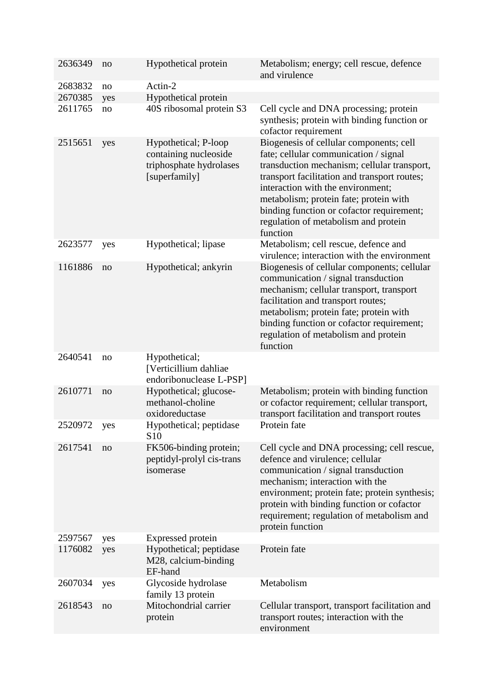| 2636349 | no  | Hypothetical protein                                                                      | Metabolism; energy; cell rescue, defence<br>and virulence                                                                                                                                                                                                                                                                                                       |
|---------|-----|-------------------------------------------------------------------------------------------|-----------------------------------------------------------------------------------------------------------------------------------------------------------------------------------------------------------------------------------------------------------------------------------------------------------------------------------------------------------------|
| 2683832 | no  | Actin-2                                                                                   |                                                                                                                                                                                                                                                                                                                                                                 |
| 2670385 | yes | Hypothetical protein                                                                      |                                                                                                                                                                                                                                                                                                                                                                 |
| 2611765 | no  | 40S ribosomal protein S3                                                                  | Cell cycle and DNA processing; protein<br>synthesis; protein with binding function or<br>cofactor requirement                                                                                                                                                                                                                                                   |
| 2515651 | yes | Hypothetical; P-loop<br>containing nucleoside<br>triphosphate hydrolases<br>[superfamily] | Biogenesis of cellular components; cell<br>fate; cellular communication / signal<br>transduction mechanism; cellular transport,<br>transport facilitation and transport routes;<br>interaction with the environment;<br>metabolism; protein fate; protein with<br>binding function or cofactor requirement;<br>regulation of metabolism and protein<br>function |
| 2623577 | yes | Hypothetical; lipase                                                                      | Metabolism; cell rescue, defence and<br>virulence; interaction with the environment                                                                                                                                                                                                                                                                             |
| 1161886 | no  | Hypothetical; ankyrin                                                                     | Biogenesis of cellular components; cellular<br>communication / signal transduction<br>mechanism; cellular transport, transport<br>facilitation and transport routes;<br>metabolism; protein fate; protein with<br>binding function or cofactor requirement;<br>regulation of metabolism and protein<br>function                                                 |
| 2640541 | no  | Hypothetical;<br>[Verticillium dahliae<br>endoribonuclease L-PSP]                         |                                                                                                                                                                                                                                                                                                                                                                 |
| 2610771 | no  | Hypothetical; glucose-<br>methanol-choline<br>oxidoreductase                              | Metabolism; protein with binding function<br>or cofactor requirement; cellular transport,<br>transport facilitation and transport routes                                                                                                                                                                                                                        |
| 2520972 | yes | Hypothetical; peptidase<br>S <sub>10</sub>                                                | Protein fate                                                                                                                                                                                                                                                                                                                                                    |
| 2617541 | no  | FK506-binding protein;<br>peptidyl-prolyl cis-trans<br>isomerase                          | Cell cycle and DNA processing; cell rescue,<br>defence and virulence; cellular<br>communication / signal transduction<br>mechanism; interaction with the<br>environment; protein fate; protein synthesis;<br>protein with binding function or cofactor<br>requirement; regulation of metabolism and<br>protein function                                         |
| 2597567 | yes | <b>Expressed</b> protein                                                                  |                                                                                                                                                                                                                                                                                                                                                                 |
| 1176082 | yes | Hypothetical; peptidase<br>M28, calcium-binding<br>EF-hand                                | Protein fate                                                                                                                                                                                                                                                                                                                                                    |
| 2607034 | yes | Glycoside hydrolase<br>family 13 protein                                                  | Metabolism                                                                                                                                                                                                                                                                                                                                                      |
| 2618543 | no  | Mitochondrial carrier<br>protein                                                          | Cellular transport, transport facilitation and<br>transport routes; interaction with the<br>environment                                                                                                                                                                                                                                                         |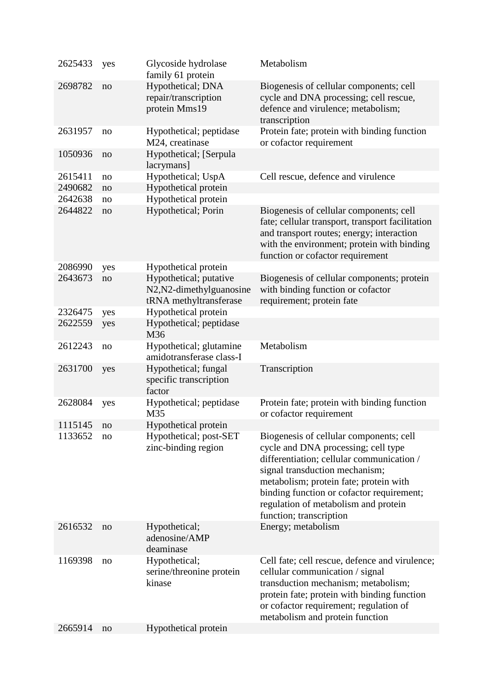| 2625433 | yes | Glycoside hydrolase<br>family 61 protein                                     | Metabolism                                                                                                                                                                                                                                                                                                              |
|---------|-----|------------------------------------------------------------------------------|-------------------------------------------------------------------------------------------------------------------------------------------------------------------------------------------------------------------------------------------------------------------------------------------------------------------------|
| 2698782 | no  | Hypothetical; DNA<br>repair/transcription<br>protein Mms19                   | Biogenesis of cellular components; cell<br>cycle and DNA processing; cell rescue,<br>defence and virulence; metabolism;<br>transcription                                                                                                                                                                                |
| 2631957 | no  | Hypothetical; peptidase<br>M24, creatinase                                   | Protein fate; protein with binding function<br>or cofactor requirement                                                                                                                                                                                                                                                  |
| 1050936 | no  | Hypothetical; [Serpula<br>lacrymans]                                         |                                                                                                                                                                                                                                                                                                                         |
| 2615411 | no  | Hypothetical; UspA                                                           | Cell rescue, defence and virulence                                                                                                                                                                                                                                                                                      |
| 2490682 | no  | Hypothetical protein                                                         |                                                                                                                                                                                                                                                                                                                         |
| 2642638 | no  | Hypothetical protein                                                         |                                                                                                                                                                                                                                                                                                                         |
| 2644822 | no  | Hypothetical; Porin                                                          | Biogenesis of cellular components; cell<br>fate; cellular transport, transport facilitation<br>and transport routes; energy; interaction<br>with the environment; protein with binding<br>function or cofactor requirement                                                                                              |
| 2086990 | yes | Hypothetical protein                                                         |                                                                                                                                                                                                                                                                                                                         |
| 2643673 | no  | Hypothetical; putative<br>N2, N2-dimethylguanosine<br>tRNA methyltransferase | Biogenesis of cellular components; protein<br>with binding function or cofactor<br>requirement; protein fate                                                                                                                                                                                                            |
| 2326475 | yes | Hypothetical protein                                                         |                                                                                                                                                                                                                                                                                                                         |
| 2622559 | yes | Hypothetical; peptidase<br>M36                                               |                                                                                                                                                                                                                                                                                                                         |
| 2612243 | no  | Hypothetical; glutamine<br>amidotransferase class-I                          | Metabolism                                                                                                                                                                                                                                                                                                              |
| 2631700 | yes | Hypothetical; fungal<br>specific transcription<br>factor                     | Transcription                                                                                                                                                                                                                                                                                                           |
| 2628084 | yes | Hypothetical; peptidase<br>M35                                               | Protein fate; protein with binding function<br>or cofactor requirement                                                                                                                                                                                                                                                  |
| 1115145 | no  | Hypothetical protein                                                         |                                                                                                                                                                                                                                                                                                                         |
| 1133652 | no  | Hypothetical; post-SET<br>zinc-binding region                                | Biogenesis of cellular components; cell<br>cycle and DNA processing; cell type<br>differentiation; cellular communication /<br>signal transduction mechanism;<br>metabolism; protein fate; protein with<br>binding function or cofactor requirement;<br>regulation of metabolism and protein<br>function; transcription |
| 2616532 | no  | Hypothetical;<br>adenosine/AMP<br>deaminase                                  | Energy; metabolism                                                                                                                                                                                                                                                                                                      |
| 1169398 | no  | Hypothetical;<br>serine/threonine protein<br>kinase                          | Cell fate; cell rescue, defence and virulence;<br>cellular communication / signal<br>transduction mechanism; metabolism;<br>protein fate; protein with binding function<br>or cofactor requirement; regulation of<br>metabolism and protein function                                                                    |
| 2665914 | no  | Hypothetical protein                                                         |                                                                                                                                                                                                                                                                                                                         |
|         |     |                                                                              |                                                                                                                                                                                                                                                                                                                         |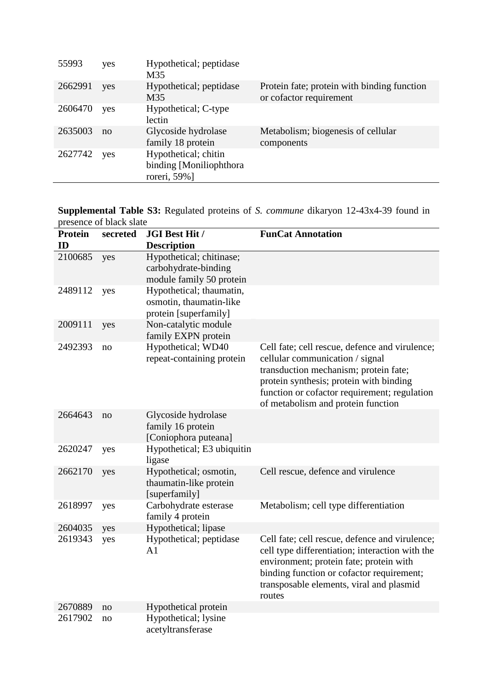| 55993   | yes | Hypothetical; peptidase<br>M35                                   |                                                                        |
|---------|-----|------------------------------------------------------------------|------------------------------------------------------------------------|
| 2662991 | yes | Hypothetical; peptidase<br>M35                                   | Protein fate; protein with binding function<br>or cofactor requirement |
| 2606470 | yes | Hypothetical; C-type<br>lectin                                   |                                                                        |
| 2635003 | no  | Glycoside hydrolase<br>family 18 protein                         | Metabolism; biogenesis of cellular<br>components                       |
| 2627742 | yes | Hypothetical; chitin<br>binding [Moniliophthora]<br>roreri, 59%] |                                                                        |

**Supplemental Table S3:** Regulated proteins of *S. commune* dikaryon 12-43x4-39 found in presence of black slate

| <b>Protein</b><br>ID | secreted | <b>JGI Best Hit /</b><br><b>Description</b>                                  | <b>FunCat Annotation</b>                                                                                                                                                                                                                                    |
|----------------------|----------|------------------------------------------------------------------------------|-------------------------------------------------------------------------------------------------------------------------------------------------------------------------------------------------------------------------------------------------------------|
| 2100685              | yes      | Hypothetical; chitinase;<br>carbohydrate-binding<br>module family 50 protein |                                                                                                                                                                                                                                                             |
| 2489112              | yes      | Hypothetical; thaumatin,<br>osmotin, thaumatin-like<br>protein [superfamily] |                                                                                                                                                                                                                                                             |
| 2009111              | yes      | Non-catalytic module<br>family EXPN protein                                  |                                                                                                                                                                                                                                                             |
| 2492393              | no       | Hypothetical; WD40<br>repeat-containing protein                              | Cell fate; cell rescue, defence and virulence;<br>cellular communication / signal<br>transduction mechanism; protein fate;<br>protein synthesis; protein with binding<br>function or cofactor requirement; regulation<br>of metabolism and protein function |
| 2664643              | no       | Glycoside hydrolase<br>family 16 protein<br>[Coniophora puteana]             |                                                                                                                                                                                                                                                             |
| 2620247              | yes      | Hypothetical; E3 ubiquitin<br>ligase                                         |                                                                                                                                                                                                                                                             |
| 2662170              | yes      | Hypothetical; osmotin,<br>thaumatin-like protein<br>[superfamily]            | Cell rescue, defence and virulence                                                                                                                                                                                                                          |
| 2618997              | yes      | Carbohydrate esterase<br>family 4 protein                                    | Metabolism; cell type differentiation                                                                                                                                                                                                                       |
| 2604035              | yes      | Hypothetical; lipase                                                         |                                                                                                                                                                                                                                                             |
| 2619343              | yes      | Hypothetical; peptidase<br>A1                                                | Cell fate; cell rescue, defence and virulence;<br>cell type differentiation; interaction with the<br>environment; protein fate; protein with<br>binding function or cofactor requirement;<br>transposable elements, viral and plasmid<br>routes             |
| 2670889              | no       | Hypothetical protein                                                         |                                                                                                                                                                                                                                                             |
| 2617902              | no       | Hypothetical; lysine<br>acetyltransferase                                    |                                                                                                                                                                                                                                                             |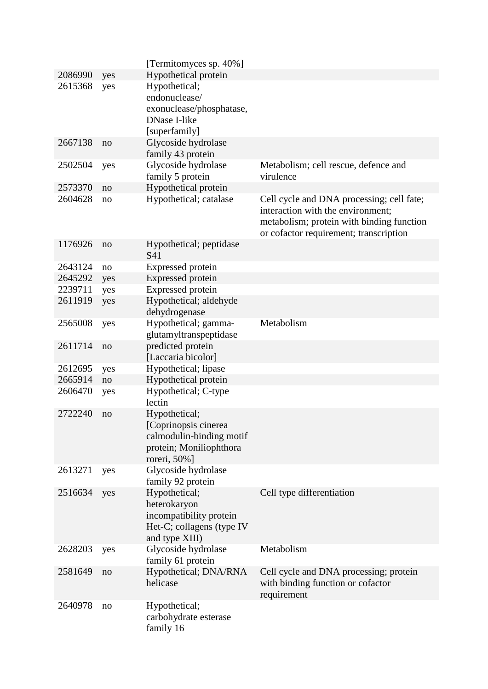|         |     | [Termitomyces sp. 40%]                                                                                       |                                                                                                                                                                       |
|---------|-----|--------------------------------------------------------------------------------------------------------------|-----------------------------------------------------------------------------------------------------------------------------------------------------------------------|
| 2086990 | yes | Hypothetical protein                                                                                         |                                                                                                                                                                       |
| 2615368 | yes | Hypothetical;<br>endonuclease/<br>exonuclease/phosphatase,<br><b>DNase I-like</b>                            |                                                                                                                                                                       |
| 2667138 | no  | [superfamily]<br>Glycoside hydrolase<br>family 43 protein                                                    |                                                                                                                                                                       |
| 2502504 | yes | Glycoside hydrolase<br>family 5 protein                                                                      | Metabolism; cell rescue, defence and<br>virulence                                                                                                                     |
| 2573370 | no  | Hypothetical protein                                                                                         |                                                                                                                                                                       |
| 2604628 | no  | Hypothetical; catalase                                                                                       | Cell cycle and DNA processing; cell fate;<br>interaction with the environment;<br>metabolism; protein with binding function<br>or cofactor requirement; transcription |
| 1176926 | no  | Hypothetical; peptidase<br>S41                                                                               |                                                                                                                                                                       |
| 2643124 | no  | Expressed protein                                                                                            |                                                                                                                                                                       |
| 2645292 | yes | Expressed protein                                                                                            |                                                                                                                                                                       |
| 2239711 | yes | Expressed protein                                                                                            |                                                                                                                                                                       |
| 2611919 | yes | Hypothetical; aldehyde<br>dehydrogenase                                                                      |                                                                                                                                                                       |
| 2565008 | yes | Hypothetical; gamma-<br>glutamyltranspeptidase                                                               | Metabolism                                                                                                                                                            |
| 2611714 | no  | predicted protein<br>[Laccaria bicolor]                                                                      |                                                                                                                                                                       |
| 2612695 | yes | Hypothetical; lipase                                                                                         |                                                                                                                                                                       |
| 2665914 | no  | Hypothetical protein                                                                                         |                                                                                                                                                                       |
| 2606470 | yes | Hypothetical; C-type<br>lectin                                                                               |                                                                                                                                                                       |
| 2722240 | no  | Hypothetical;<br>[Coprinopsis cinerea<br>calmodulin-binding motif<br>protein; Moniliophthora<br>roreri, 50%] |                                                                                                                                                                       |
| 2613271 | yes | Glycoside hydrolase<br>family 92 protein                                                                     |                                                                                                                                                                       |
| 2516634 | yes | Hypothetical;<br>heterokaryon<br>incompatibility protein<br>Het-C; collagens (type IV<br>and type XIII)      | Cell type differentiation                                                                                                                                             |
| 2628203 | yes | Glycoside hydrolase<br>family 61 protein                                                                     | Metabolism                                                                                                                                                            |
| 2581649 | no  | Hypothetical; DNA/RNA<br>helicase                                                                            | Cell cycle and DNA processing; protein<br>with binding function or cofactor<br>requirement                                                                            |
| 2640978 | no  | Hypothetical;<br>carbohydrate esterase<br>family 16                                                          |                                                                                                                                                                       |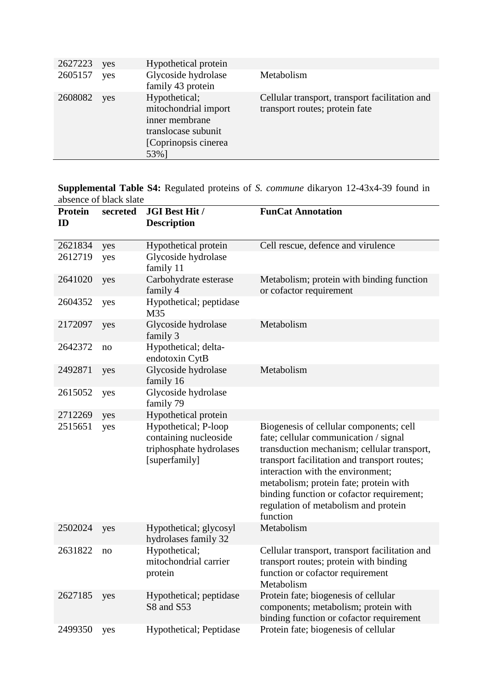| 2627223 | yes | Hypothetical protein                                                                                            |                                                                                  |
|---------|-----|-----------------------------------------------------------------------------------------------------------------|----------------------------------------------------------------------------------|
| 2605157 | yes | Glycoside hydrolase<br>family 43 protein                                                                        | Metabolism                                                                       |
| 2608082 | yes | Hypothetical;<br>mitochondrial import<br>inner membrane<br>translocase subunit<br>[Coprinopsis cinerea]<br>53%] | Cellular transport, transport facilitation and<br>transport routes; protein fate |

**Supplemental Table S4:** Regulated proteins of *S. commune* dikaryon 12-43x4-39 found in absence of black slate

| <b>Protein</b><br>ID | secreted   | <b>JGI Best Hit /</b><br><b>Description</b>                                                                       | <b>FunCat Annotation</b>                                                                                                                                                                                                                                                                                                                                        |
|----------------------|------------|-------------------------------------------------------------------------------------------------------------------|-----------------------------------------------------------------------------------------------------------------------------------------------------------------------------------------------------------------------------------------------------------------------------------------------------------------------------------------------------------------|
| 2621834              | yes        | Hypothetical protein                                                                                              | Cell rescue, defence and virulence                                                                                                                                                                                                                                                                                                                              |
| 2612719              | yes        | Glycoside hydrolase<br>family 11                                                                                  |                                                                                                                                                                                                                                                                                                                                                                 |
| 2641020              | yes        | Carbohydrate esterase<br>family 4                                                                                 | Metabolism; protein with binding function<br>or cofactor requirement                                                                                                                                                                                                                                                                                            |
| 2604352              | yes        | Hypothetical; peptidase<br>M35                                                                                    |                                                                                                                                                                                                                                                                                                                                                                 |
| 2172097              | yes        | Glycoside hydrolase<br>family 3                                                                                   | Metabolism                                                                                                                                                                                                                                                                                                                                                      |
| 2642372              | no         | Hypothetical; delta-<br>endotoxin CytB                                                                            |                                                                                                                                                                                                                                                                                                                                                                 |
| 2492871              | yes        | Glycoside hydrolase<br>family 16                                                                                  | Metabolism                                                                                                                                                                                                                                                                                                                                                      |
| 2615052              | yes        | Glycoside hydrolase<br>family 79                                                                                  |                                                                                                                                                                                                                                                                                                                                                                 |
| 2712269<br>2515651   | yes<br>yes | Hypothetical protein<br>Hypothetical; P-loop<br>containing nucleoside<br>triphosphate hydrolases<br>[superfamily] | Biogenesis of cellular components; cell<br>fate; cellular communication / signal<br>transduction mechanism; cellular transport,<br>transport facilitation and transport routes;<br>interaction with the environment;<br>metabolism; protein fate; protein with<br>binding function or cofactor requirement;<br>regulation of metabolism and protein<br>function |
| 2502024              | yes        | Hypothetical; glycosyl<br>hydrolases family 32                                                                    | Metabolism                                                                                                                                                                                                                                                                                                                                                      |
| 2631822              | no         | Hypothetical;<br>mitochondrial carrier<br>protein                                                                 | Cellular transport, transport facilitation and<br>transport routes; protein with binding<br>function or cofactor requirement<br>Metabolism                                                                                                                                                                                                                      |
| 2627185              | yes        | Hypothetical; peptidase<br>S8 and S53                                                                             | Protein fate; biogenesis of cellular<br>components; metabolism; protein with<br>binding function or cofactor requirement                                                                                                                                                                                                                                        |
| 2499350              | yes        | Hypothetical; Peptidase                                                                                           | Protein fate; biogenesis of cellular                                                                                                                                                                                                                                                                                                                            |